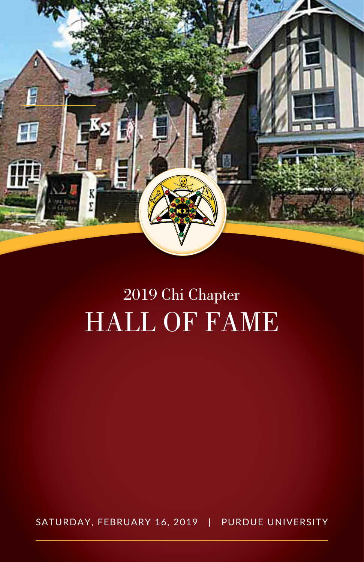

# 2019 Chi Chapter HALL OF FAME

SATURDAY, FEBRUARY 16, 2019 | PURDUE UNIVERSITY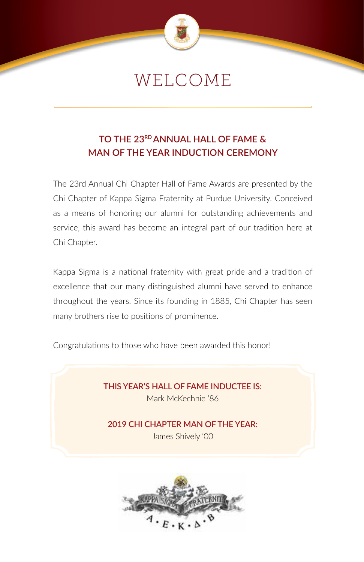

## WELCOME

## **TO THE 23RD ANNUAL HALL OF FAME & MAN OF THE YEAR INDUCTION CEREMONY**

The 23rd Annual Chi Chapter Hall of Fame Awards are presented by the Chi Chapter of Kappa Sigma Fraternity at Purdue University. Conceived as a means of honoring our alumni for outstanding achievements and service, this award has become an integral part of our tradition here at Chi Chapter.

Kappa Sigma is a national fraternity with great pride and a tradition of excellence that our many distinguished alumni have served to enhance throughout the years. Since its founding in 1885, Chi Chapter has seen many brothers rise to positions of prominence.

Congratulations to those who have been awarded this honor!

**THIS YEAR'S HALL OF FAME INDUCTEE IS:** Mark McKechnie '86

**2019 CHI CHAPTER MAN OF THE YEAR:** James Shively '00

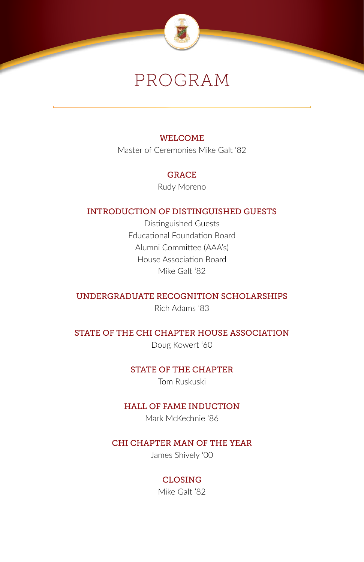

## PROGRAM

### WELCOME

Master of Ceremonies Mike Galt '82

### **GRACE**

Rudy Moreno

## INTRODUCTION OF DISTINGUISHED GUESTS

Distinguished Guests Educational Foundation Board Alumni Committee (AAA's) House Association Board Mike Galt '82

### UNDERGRADUATE RECOGNITION SCHOLARSHIPS

Rich Adams '83

### STATE OF THE CHI CHAPTER HOUSE ASSOCIATION

Doug Kowert '60

### STATE OF THE CHAPTER

Tom Ruskuski

### HALL OF FAME INDUCTION

Mark McKechnie '86

### CHI CHAPTER MAN OF THE YEAR

James Shively '00

## CLOSING

Mike Galt '82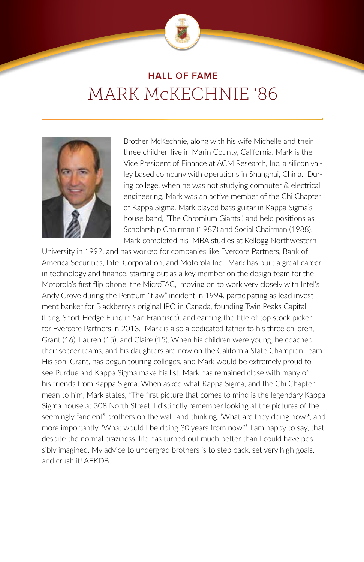

## **HALL OF FAME** MARK McKECHNIE '86



Brother McKechnie, along with his wife Michelle and their three children live in Marin County, California. Mark is the Vice President of Finance at ACM Research, Inc, a silicon valley based company with operations in Shanghai, China. During college, when he was not studying computer & electrical engineering, Mark was an active member of the Chi Chapter of Kappa Sigma. Mark played bass guitar in Kappa Sigma's house band, "The Chromium Giants", and held positions as Scholarship Chairman (1987) and Social Chairman (1988). Mark completed his MBA studies at Kellogg Northwestern

University in 1992, and has worked for companies like Evercore Partners, Bank of America Securities, Intel Corporation, and Motorola Inc. Mark has built a great career in technology and finance, starting out as a key member on the design team for the Motorola's first flip phone, the MicroTAC, moving on to work very closely with Intel's Andy Grove during the Pentium "flaw" incident in 1994, participating as lead investment banker for Blackberry's original IPO in Canada, founding Twin Peaks Capital (Long-Short Hedge Fund in San Francisco), and earning the title of top stock picker for Evercore Partners in 2013. Mark is also a dedicated father to his three children, Grant (16), Lauren (15), and Claire (15). When his children were young, he coached their soccer teams, and his daughters are now on the California State Champion Team. His son, Grant, has begun touring colleges, and Mark would be extremely proud to see Purdue and Kappa Sigma make his list. Mark has remained close with many of his friends from Kappa Sigma. When asked what Kappa Sigma, and the Chi Chapter mean to him, Mark states, "The first picture that comes to mind is the legendary Kappa Sigma house at 308 North Street. I distinctly remember looking at the pictures of the seemingly "ancient" brothers on the wall, and thinking, 'What are they doing now?', and more importantly, 'What would I be doing 30 years from now?'. I am happy to say, that despite the normal craziness, life has turned out much better than I could have possibly imagined. My advice to undergrad brothers is to step back, set very high goals, and crush it! AEKDB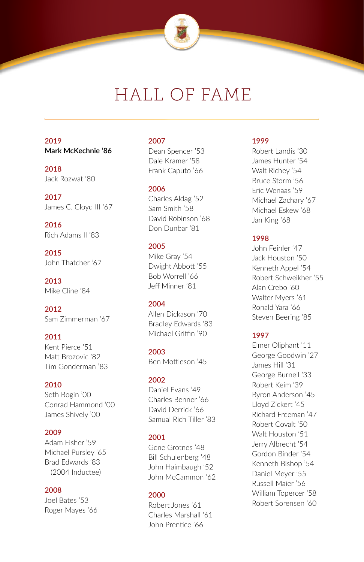

## HALL OF FAME

#### **2019 Mark McKechnie '86**

**2018** Jack Rozwat '80

**2017** James C. Cloyd III '67

**2016** Rich Adams II '83

**2015** John Thatcher '67

**2013** Mike Cline '84

**2012** Sam Zimmerman '67

#### **2011** Kent Pierce '51 Matt Brozovic '82 Tim Gonderman '83

#### **2010**

Seth Bogin '00 Conrad Hammond '00 James Shively '00

#### **2009**

Adam Fisher '59 Michael Pursley '65 Brad Edwards '83 (2004 Inductee)

#### **2008**

Joel Bates '53 Roger Mayes '66

#### **2007**

Dean Spencer '53 Dale Kramer '58 Frank Caputo '66

#### **2006**

Charles Aldag '52 Sam Smith '58 David Robinson '68 Don Dunbar '81

#### **2005**

Mike Gray '54 Dwight Abbott '55 Bob Worrell '66 Jeff Minner '81

#### **2004**

Allen Dickason '70 Bradley Edwards '83 Michael Griffin '90

**2003** Ben Mottleson '45

#### **2002**

Daniel Evans '49 Charles Benner '66 David Derrick '66 Samual Rich Tiller '83

#### **2001**

Gene Grotnes '48 Bill Schulenberg '48 John Haimbaugh '52 John McCammon '62

#### **2000**

Robert Jones '61 Charles Marshall '61 John Prentice '66

#### **1999**

Robert Landis '30 James Hunter '54 Walt Richey '54 Bruce Storm '56 Eric Wenaas '59 Michael Zachary '67 Michael Eskew '68 Jan King '68

#### **1998**

John Feinler '47 Jack Houston '50 Kenneth Appel '54 Robert Schweikher '55 Alan Crebo '60 Walter Myers '61 Ronald Yara '66 Steven Beering '85

#### **1997**

Elmer Oliphant '11 George Goodwin '27 James Hill '31 George Burnell '33 Robert Keim '39 Byron Anderson '45 Lloyd Zickert '45 Richard Freeman '47 Robert Covalt '50 Walt Houston '51 Jerry Albrecht '54 Gordon Binder '54 Kenneth Bishop '54 Daniel Meyer '55 Russell Maier '56 William Topercer '58 Robert Sorensen '60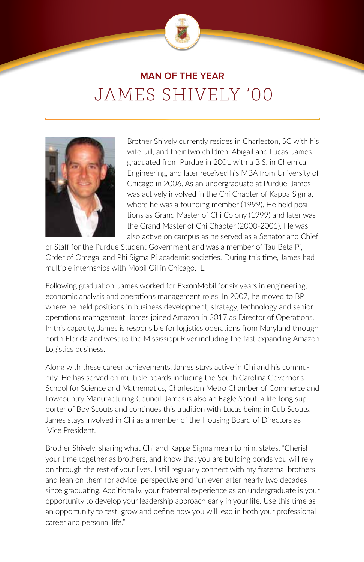

## **MAN OF THE YEAR** JAMES SHIVELY '00



Brother Shively currently resides in Charleston, SC with his wife, Jill, and their two children, Abigail and Lucas. James graduated from Purdue in 2001 with a B.S. in Chemical Engineering, and later received his MBA from University of Chicago in 2006. As an undergraduate at Purdue, James was actively involved in the Chi Chapter of Kappa Sigma, where he was a founding member (1999). He held positions as Grand Master of Chi Colony (1999) and later was the Grand Master of Chi Chapter (2000-2001). He was also active on campus as he served as a Senator and Chief

of Staff for the Purdue Student Government and was a member of Tau Beta Pi, Order of Omega, and Phi Sigma Pi academic societies. During this time, James had multiple internships with Mobil Oil in Chicago, IL.

Following graduation, James worked for ExxonMobil for six years in engineering, economic analysis and operations management roles. In 2007, he moved to BP where he held positions in business development, strategy, technology and senior operations management. James joined Amazon in 2017 as Director of Operations. In this capacity, James is responsible for logistics operations from Maryland through north Florida and west to the Mississippi River including the fast expanding Amazon Logistics business.

Along with these career achievements, James stays active in Chi and his community. He has served on multiple boards including the South Carolina Governor's School for Science and Mathematics, Charleston Metro Chamber of Commerce and Lowcountry Manufacturing Council. James is also an Eagle Scout, a life-long supporter of Boy Scouts and continues this tradition with Lucas being in Cub Scouts. James stays involved in Chi as a member of the Housing Board of Directors as Vice President.

Brother Shively, sharing what Chi and Kappa Sigma mean to him, states, "Cherish your time together as brothers, and know that you are building bonds you will rely on through the rest of your lives. I still regularly connect with my fraternal brothers and lean on them for advice, perspective and fun even after nearly two decades since graduating. Additionally, your fraternal experience as an undergraduate is your opportunity to develop your leadership approach early in your life. Use this time as an opportunity to test, grow and define how you will lead in both your professional career and personal life."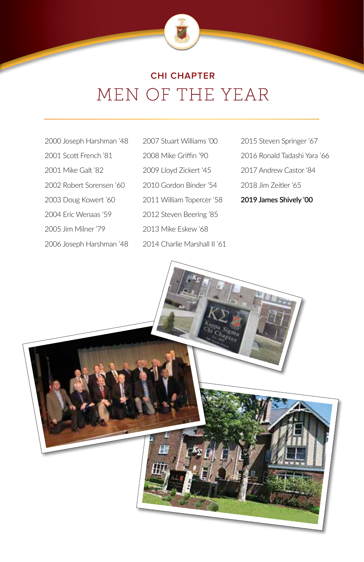

## MEN OF THE YEAR **CHI CHAPTER**

- 2000 Joseph Harshman '48 2001 Scott French '81 2001 Mike Galt '82 2002 Robert Sorensen '60 2003 Doug Kowert '60 2004 Eric Wenaas '59 2005 Jim Milner '79 2006 Joseph Harshman '48 2014 Charlie Marshall II '61
	- 2007 Stuart Williams '00 2008 Mike Griffin '90 2009 Lloyd Zickert '45 2010 Gordon Binder '54 2011 William Topercer '58 2012 Steven Beering '85 2013 Mike Eskew '68
- 2015 Steven Springer '67 2016 Ronald Tadashi Yara '66 2017 Andrew Castor '84 2018 Jim Zeitler '65 **2019 James Shively '00**